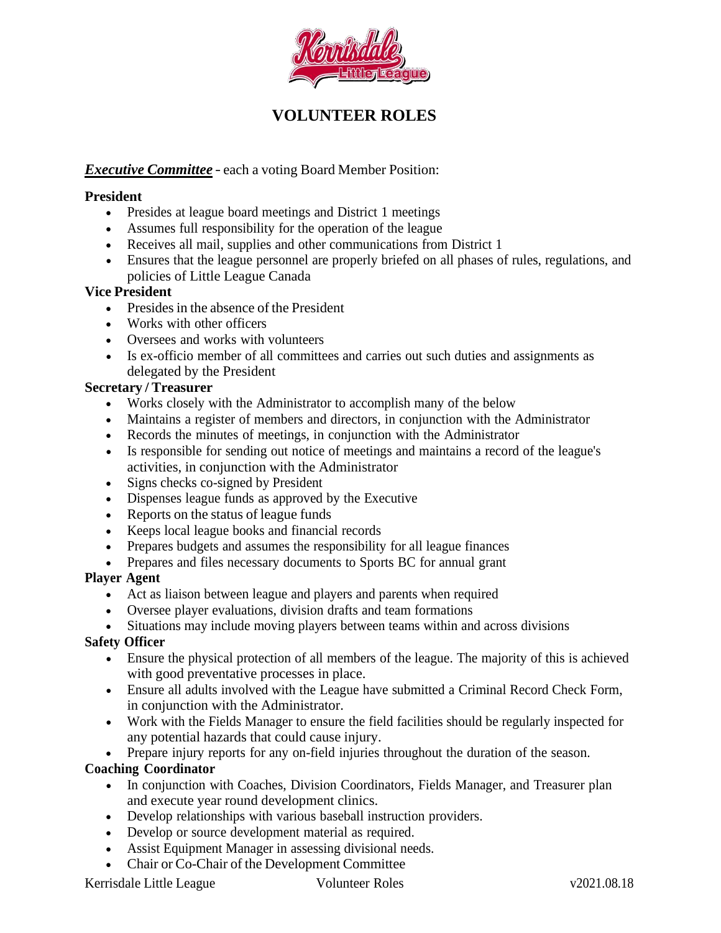

# **VOLUNTEER ROLES**

### *Executive Committee* – each a voting Board Member Position:

#### **President**

- Presides at league board meetings and District 1 meetings
- Assumes full responsibility for the operation of the league
- Receives all mail, supplies and other communications from District 1
- Ensures that the league personnel are properly briefed on all phases of rules, regulations, and policies of Little League Canada

### **Vice President**

- Presides in the absence of the President
- Works with other officers
- Oversees and works with volunteers
- Is ex-officio member of all committees and carries out such duties and assignments as delegated by the President

#### **Secretary / Treasurer**

- Works closely with the Administrator to accomplish many of the below
- Maintains a register of members and directors, in conjunction with the Administrator
- Records the minutes of meetings, in conjunction with the Administrator
- Is responsible for sending out notice of meetings and maintains a record of the league's activities, in conjunction with the Administrator
- Signs checks co-signed by President
- Dispenses league funds as approved by the Executive
- Reports on the status of league funds
- Keeps local league books and financial records
- Prepares budgets and assumes the responsibility for all league finances
- Prepares and files necessary documents to Sports BC for annual grant

#### **Player Agent**

- Act as liaison between league and players and parents when required
- Oversee player evaluations, division drafts and team formations
- Situations may include moving players between teams within and across divisions

#### **Safety Officer**

- Ensure the physical protection of all members of the league. The majority of this is achieved with good preventative processes in place.
- Ensure all adults involved with the League have submitted a Criminal Record Check Form, in conjunction with the Administrator.
- Work with the Fields Manager to ensure the field facilities should be regularly inspected for any potential hazards that could cause injury.
- Prepare injury reports for any on-field injuries throughout the duration of the season.

#### **Coaching Coordinator**

- In conjunction with Coaches, Division Coordinators, Fields Manager, and Treasurer plan and execute year round development clinics.
- Develop relationships with various baseball instruction providers.
- Develop or source development material as required.
- Assist Equipment Manager in assessing divisional needs.
- Chair or Co-Chair of the Development Committee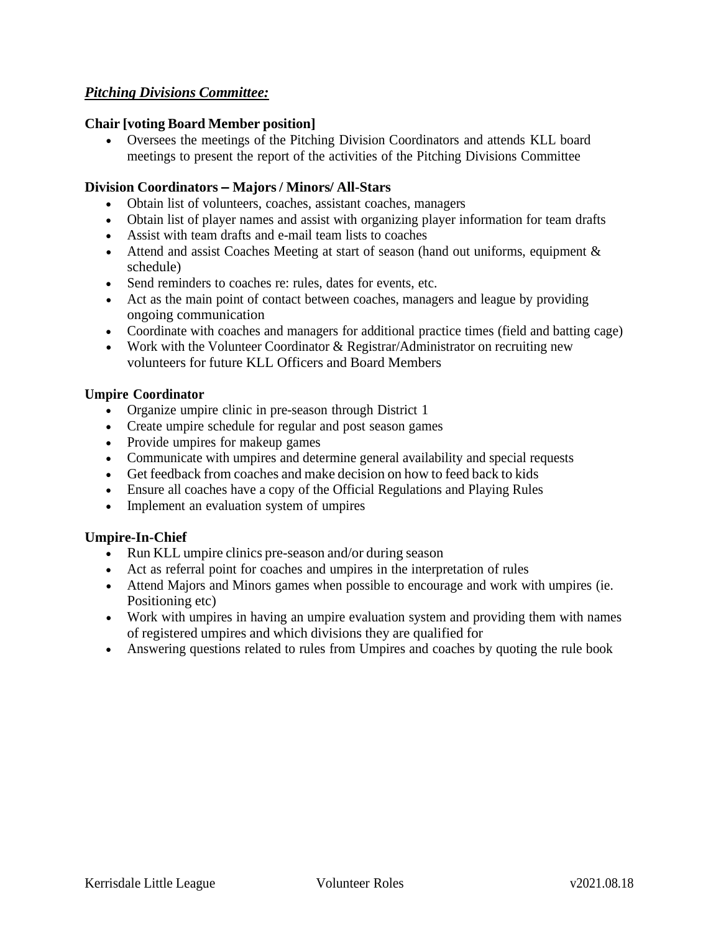# *Pitching Divisions Committee:*

### **Chair [voting Board Member position]**

• Oversees the meetings of the Pitching Division Coordinators and attends KLL board meetings to present the report of the activities of the Pitching Divisions Committee

### **Division Coordinators – Majors/ Minors/ All-Stars**

- Obtain list of volunteers, coaches, assistant coaches, managers
- Obtain list of player names and assist with organizing player information for team drafts
- Assist with team drafts and e-mail team lists to coaches
- Attend and assist Coaches Meeting at start of season (hand out uniforms, equipment  $\&$ schedule)
- Send reminders to coaches re: rules, dates for events, etc.
- Act as the main point of contact between coaches, managers and league by providing ongoing communication
- Coordinate with coaches and managers for additional practice times (field and batting cage)
- Work with the Volunteer Coordinator & Registrar/Administrator on recruiting new volunteers for future KLL Officers and Board Members

### **Umpire Coordinator**

- Organize umpire clinic in pre-season through District 1
- Create umpire schedule for regular and post season games
- Provide umpires for makeup games
- Communicate with umpires and determine general availability and special requests
- Get feedback from coaches and make decision on how to feed back to kids
- Ensure all coaches have a copy of the Official Regulations and Playing Rules
- Implement an evaluation system of umpires

# **Umpire-In-Chief**

- Run KLL umpire clinics pre-season and/or during season
- Act as referral point for coaches and umpires in the interpretation of rules
- Attend Majors and Minors games when possible to encourage and work with umpires (ie. Positioning etc)
- Work with umpires in having an umpire evaluation system and providing them with names of registered umpires and which divisions they are qualified for
- Answering questions related to rules from Umpires and coaches by quoting the rule book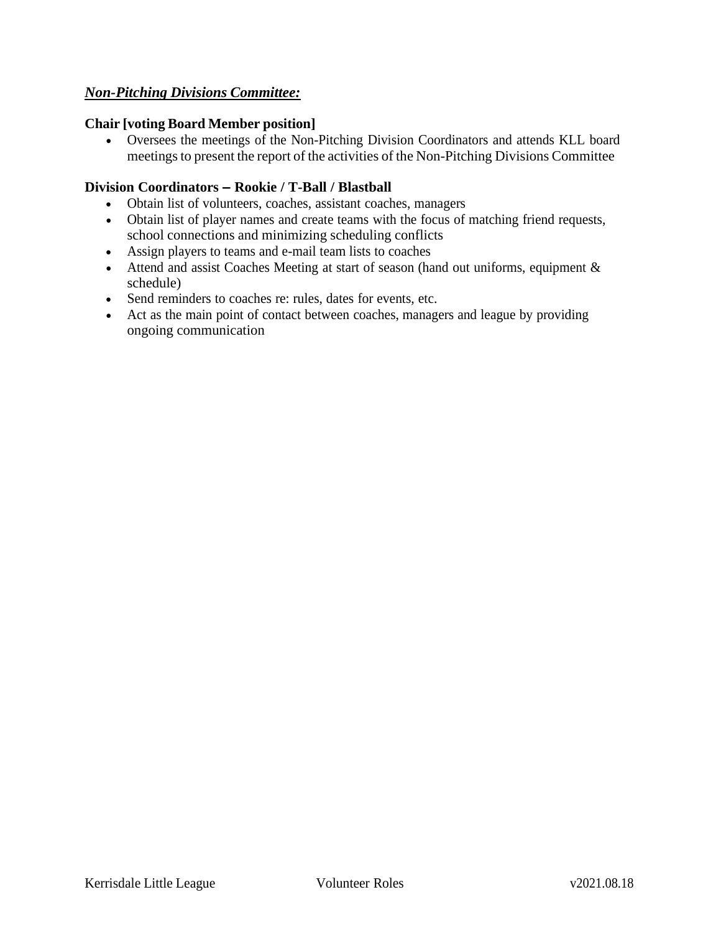# *Non-Pitching Divisions Committee:*

#### **Chair [voting Board Member position]**

• Oversees the meetings of the Non-Pitching Division Coordinators and attends KLL board meetings to present the report of the activities of the Non-Pitching Divisions Committee

# **Division Coordinators – Rookie / T-Ball / Blastball**

- Obtain list of volunteers, coaches, assistant coaches, managers
- Obtain list of player names and create teams with the focus of matching friend requests, school connections and minimizing scheduling conflicts
- Assign players to teams and e-mail team lists to coaches
- Attend and assist Coaches Meeting at start of season (hand out uniforms, equipment  $\&$ schedule)
- Send reminders to coaches re: rules, dates for events, etc.
- Act as the main point of contact between coaches, managers and league by providing ongoing communication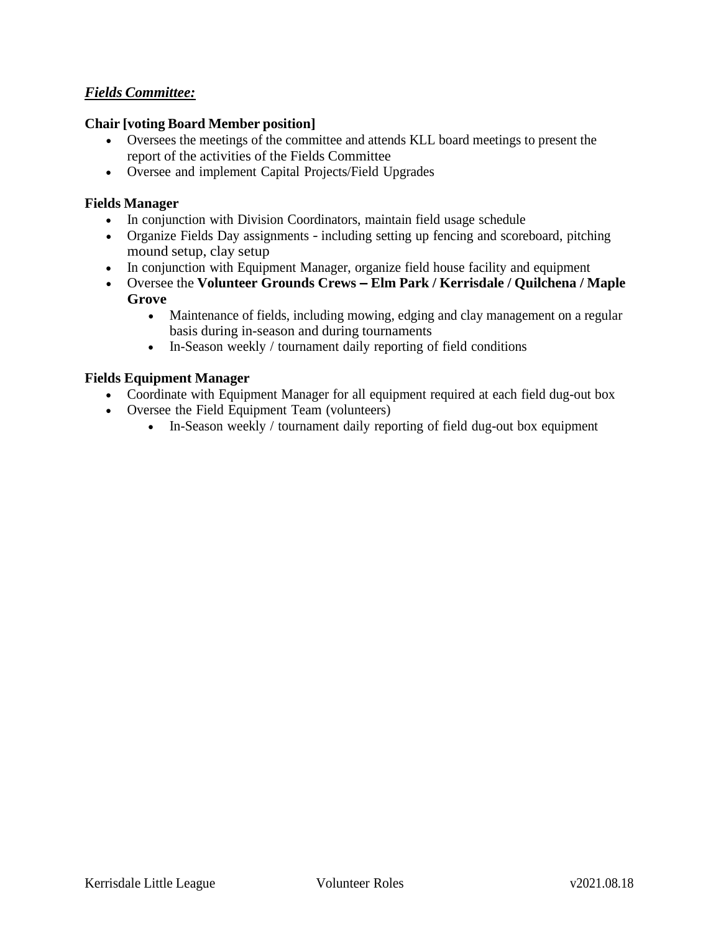# *Fields Committee:*

#### **Chair [voting Board Member position]**

- Oversees the meetings of the committee and attends KLL board meetings to present the report of the activities of the Fields Committee
- Oversee and implement Capital Projects/Field Upgrades

#### **Fields Manager**

- In conjunction with Division Coordinators, maintain field usage schedule
- Organize Fields Day assignments including setting up fencing and scoreboard, pitching mound setup, clay setup
- In conjunction with Equipment Manager, organize field house facility and equipment
- Oversee the **Volunteer Grounds Crews – Elm Park / Kerrisdale / Quilchena / Maple Grove**
	- Maintenance of fields, including mowing, edging and clay management on a regular basis during in-season and during tournaments
	- In-Season weekly / tournament daily reporting of field conditions

#### **Fields Equipment Manager**

- Coordinate with Equipment Manager for all equipment required at each field dug-out box
- Oversee the Field Equipment Team (volunteers)
	- In-Season weekly / tournament daily reporting of field dug-out box equipment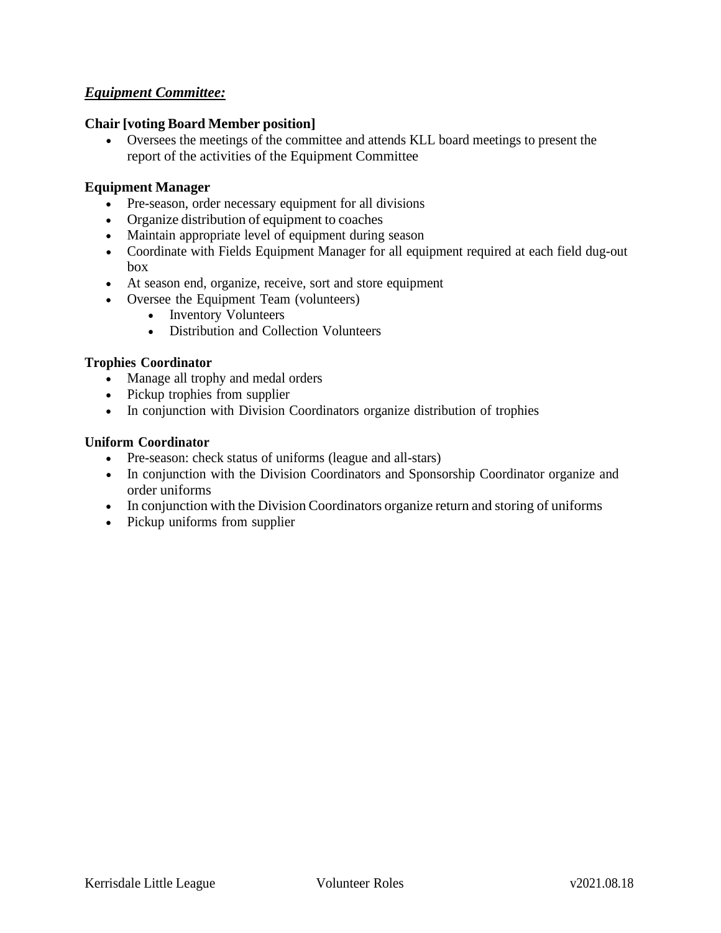# *Equipment Committee:*

#### **Chair [voting Board Member position]**

• Oversees the meetings of the committee and attends KLL board meetings to present the report of the activities of the Equipment Committee

#### **Equipment Manager**

- Pre-season, order necessary equipment for all divisions
- Organize distribution of equipment to coaches
- Maintain appropriate level of equipment during season
- Coordinate with Fields Equipment Manager for all equipment required at each field dug-out box
- At season end, organize, receive, sort and store equipment
- Oversee the Equipment Team (volunteers)
	- Inventory Volunteers
	- Distribution and Collection Volunteers

#### **Trophies Coordinator**

- Manage all trophy and medal orders
- Pickup trophies from supplier
- In conjunction with Division Coordinators organize distribution of trophies

#### **Uniform Coordinator**

- Pre-season: check status of uniforms (league and all-stars)
- In conjunction with the Division Coordinators and Sponsorship Coordinator organize and order uniforms
- In conjunction with the Division Coordinators organize return and storing of uniforms
- Pickup uniforms from supplier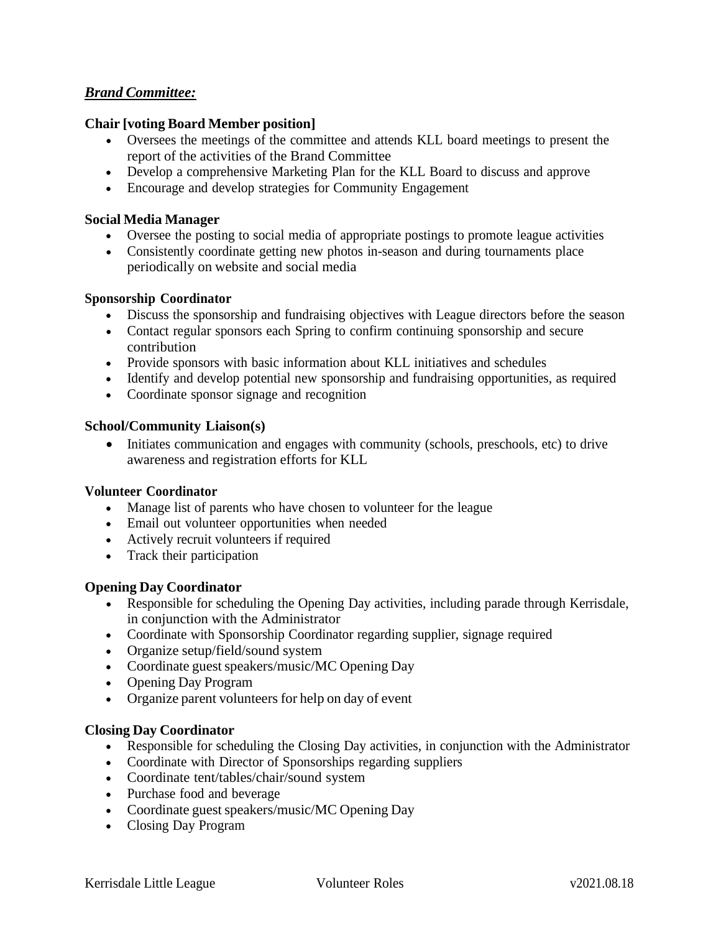# *Brand Committee:*

#### **Chair [voting Board Member position]**

- Oversees the meetings of the committee and attends KLL board meetings to present the report of the activities of the Brand Committee
- Develop a comprehensive Marketing Plan for the KLL Board to discuss and approve
- Encourage and develop strategies for Community Engagement

#### **Social Media Manager**

- Oversee the posting to social media of appropriate postings to promote league activities
- Consistently coordinate getting new photos in-season and during tournaments place periodically on website and social media

#### **Sponsorship Coordinator**

- Discuss the sponsorship and fundraising objectives with League directors before the season
- Contact regular sponsors each Spring to confirm continuing sponsorship and secure contribution
- Provide sponsors with basic information about KLL initiatives and schedules
- Identify and develop potential new sponsorship and fundraising opportunities, as required
- Coordinate sponsor signage and recognition

#### **School/Community Liaison(s)**

• Initiates communication and engages with community (schools, preschools, etc) to drive awareness and registration efforts for KLL

#### **Volunteer Coordinator**

- Manage list of parents who have chosen to volunteer for the league
- Email out volunteer opportunities when needed
- Actively recruit volunteers if required
- Track their participation

#### **Opening Day Coordinator**

- Responsible for scheduling the Opening Day activities, including parade through Kerrisdale, in conjunction with the Administrator
- Coordinate with Sponsorship Coordinator regarding supplier, signage required
- Organize setup/field/sound system
- Coordinate guest speakers/music/MC Opening Day
- Opening Day Program
- Organize parent volunteers for help on day of event

#### **Closing Day Coordinator**

- Responsible for scheduling the Closing Day activities, in conjunction with the Administrator
- Coordinate with Director of Sponsorships regarding suppliers
- Coordinate tent/tables/chair/sound system
- Purchase food and beverage
- Coordinate guest speakers/music/MC Opening Day
- Closing Day Program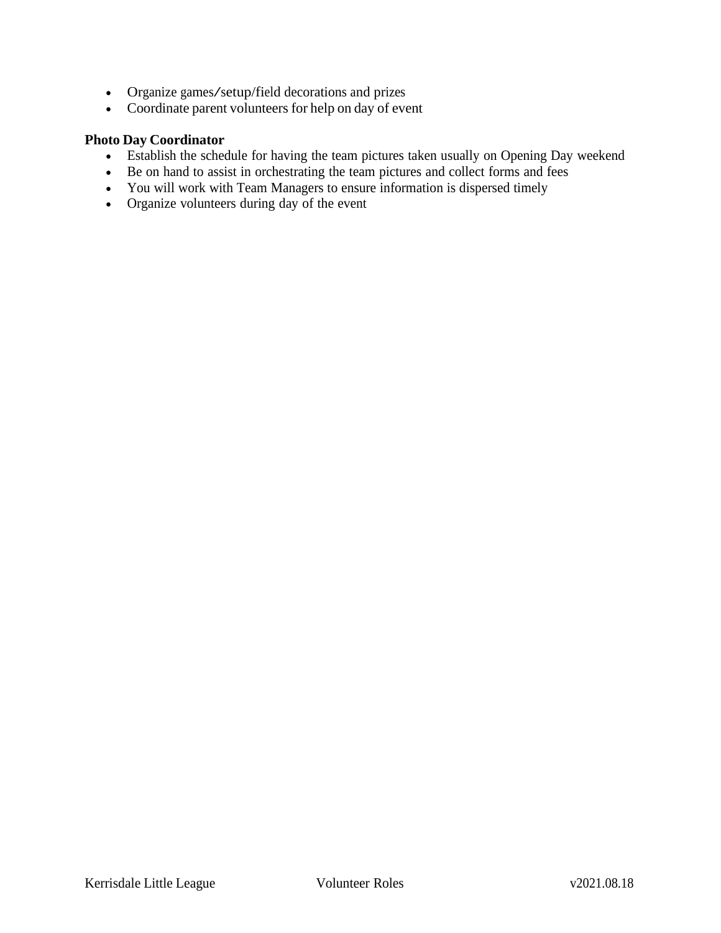- Organize games/setup/field decorations and prizes
- Coordinate parent volunteers for help on day of event

# **Photo Day Coordinator**

- Establish the schedule for having the team pictures taken usually on Opening Day weekend
- Be on hand to assist in orchestrating the team pictures and collect forms and fees
- You will work with Team Managers to ensure information is dispersed timely
- Organize volunteers during day of the event